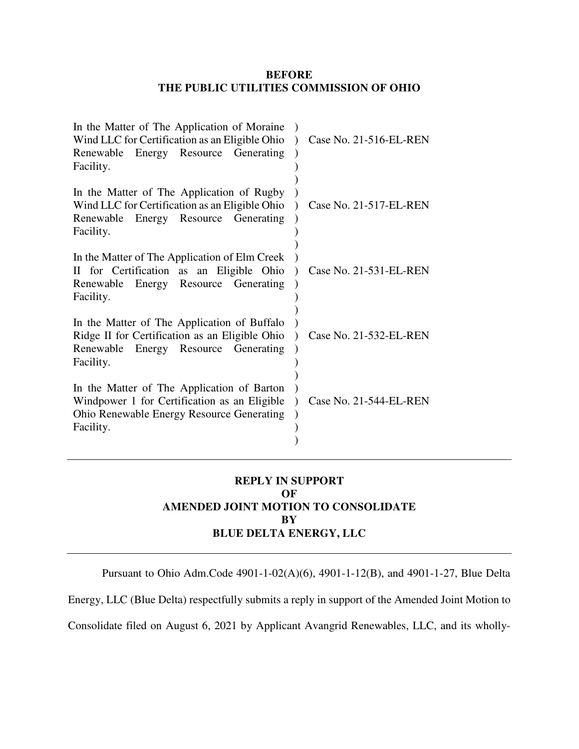## **BEFORE THE PUBLIC UTILITIES COMMISSION OF OHIO**

| In the Matter of The Application of Moraine<br>Wind LLC for Certification as an Eligible Ohio<br>Renewable Energy Resource Generating<br>Facility.          | Case No. 21-516-EL-REN |
|-------------------------------------------------------------------------------------------------------------------------------------------------------------|------------------------|
| In the Matter of The Application of Rugby<br>Wind LLC for Certification as an Eligible Ohio<br>Renewable Energy Resource Generating<br>Facility.            | Case No. 21-517-EL-REN |
| In the Matter of The Application of Elm Creek<br>II for Certification as an Eligible Ohio<br>Renewable Energy Resource Generating<br>Facility.              | Case No. 21-531-EL-REN |
| In the Matter of The Application of Buffalo<br>Ridge II for Certification as an Eligible Ohio<br>Renewable Energy Resource Generating<br>Facility.          | Case No. 21-532-EL-REN |
| In the Matter of The Application of Barton<br>Windpower 1 for Certification as an Eligible<br><b>Ohio Renewable Energy Resource Generating</b><br>Facility. | Case No. 21-544-EL-REN |

## **REPLY IN SUPPORT OF AMENDED JOINT MOTION TO CONSOLIDATE BY BLUE DELTA ENERGY, LLC**

Pursuant to Ohio Adm.Code 4901-1-02(A)(6), 4901-1-12(B), and 4901-1-27, Blue Delta

Energy, LLC (Blue Delta) respectfully submits a reply in support of the Amended Joint Motion to

Consolidate filed on August 6, 2021 by Applicant Avangrid Renewables, LLC, and its wholly-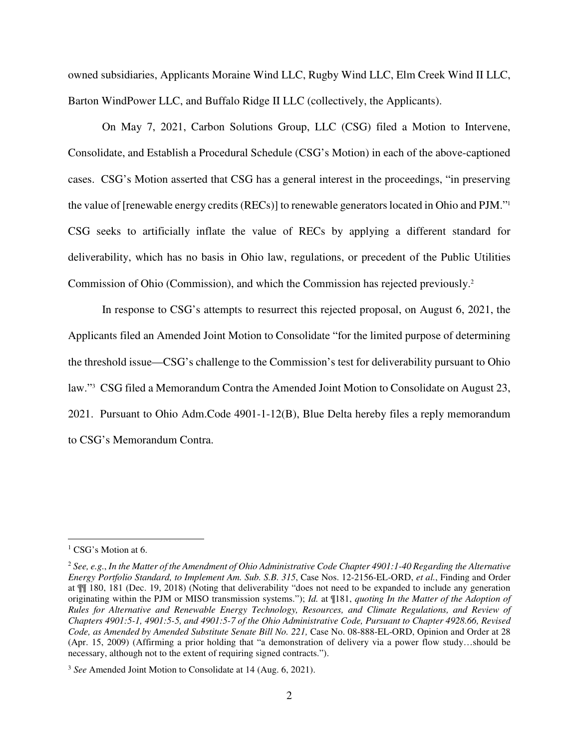owned subsidiaries, Applicants Moraine Wind LLC, Rugby Wind LLC, Elm Creek Wind II LLC, Barton WindPower LLC, and Buffalo Ridge II LLC (collectively, the Applicants).

On May 7, 2021, Carbon Solutions Group, LLC (CSG) filed a Motion to Intervene, Consolidate, and Establish a Procedural Schedule (CSG's Motion) in each of the above-captioned cases. CSG's Motion asserted that CSG has a general interest in the proceedings, "in preserving the value of [renewable energy credits (RECs)] to renewable generators located in Ohio and PJM."<sup>1</sup> CSG seeks to artificially inflate the value of RECs by applying a different standard for deliverability, which has no basis in Ohio law, regulations, or precedent of the Public Utilities Commission of Ohio (Commission), and which the Commission has rejected previously.<sup>2</sup>

In response to CSG's attempts to resurrect this rejected proposal, on August 6, 2021, the Applicants filed an Amended Joint Motion to Consolidate "for the limited purpose of determining the threshold issue—CSG's challenge to the Commission's test for deliverability pursuant to Ohio law."<sup>3</sup> CSG filed a Memorandum Contra the Amended Joint Motion to Consolidate on August 23, 2021. Pursuant to Ohio Adm.Code 4901-1-12(B), Blue Delta hereby files a reply memorandum to CSG's Memorandum Contra.

 $\overline{a}$ 

<sup>&</sup>lt;sup>1</sup> CSG's Motion at 6.

<sup>2</sup> *See, e.g.*, *In the Matter of the Amendment of Ohio Administrative Code Chapter 4901:1-40 Regarding the Alternative Energy Portfolio Standard, to Implement Am. Sub. S.B. 315*, Case Nos. 12-2156-EL-ORD, *et al.*, Finding and Order at ¶¶ 180, 181 (Dec. 19, 2018) (Noting that deliverability "does not need to be expanded to include any generation originating within the PJM or MISO transmission systems."); *Id.* at ¶181, *quoting In the Matter of the Adoption of Rules for Alternative and Renewable Energy Technology, Resources, and Climate Regulations, and Review of Chapters 4901:5-1, 4901:5-5, and 4901:5-7 of the Ohio Administrative Code, Pursuant to Chapter 4928.66, Revised Code, as Amended by Amended Substitute Senate Bill No. 221,* Case No. 08-888-EL-ORD, Opinion and Order at 28 (Apr. 15, 2009) (Affirming a prior holding that "a demonstration of delivery via a power flow study…should be necessary, although not to the extent of requiring signed contracts.").

<sup>3</sup> *See* Amended Joint Motion to Consolidate at 14 (Aug. 6, 2021).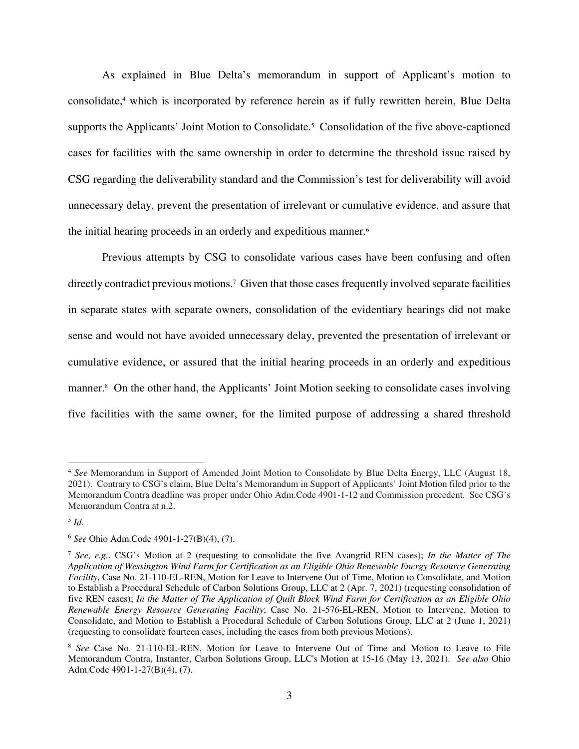As explained in Blue Delta's memorandum in support of Applicant's motion to consolidate,<sup>4</sup> which is incorporated by reference herein as if fully rewritten herein, Blue Delta supports the Applicants' Joint Motion to Consolidate.<sup>5</sup> Consolidation of the five above-captioned cases for facilities with the same ownership in order to determine the threshold issue raised by CSG regarding the deliverability standard and the Commission's test for deliverability will avoid unnecessary delay, prevent the presentation of irrelevant or cumulative evidence, and assure that the initial hearing proceeds in an orderly and expeditious manner.<sup>6</sup>

Previous attempts by CSG to consolidate various cases have been confusing and often directly contradict previous motions.<sup>7</sup> Given that those cases frequently involved separate facilities in separate states with separate owners, consolidation of the evidentiary hearings did not make sense and would not have avoided unnecessary delay, prevented the presentation of irrelevant or cumulative evidence, or assured that the initial hearing proceeds in an orderly and expeditious manner.<sup>8</sup> On the other hand, the Applicants' Joint Motion seeking to consolidate cases involving five facilities with the same owner, for the limited purpose of addressing a shared threshold

 $\overline{a}$ 

<sup>4</sup> *See* Memorandum in Support of Amended Joint Motion to Consolidate by Blue Delta Energy, LLC (August 18, 2021). Contrary to CSG's claim, Blue Delta's Memorandum in Support of Applicants' Joint Motion filed prior to the Memorandum Contra deadline was proper under Ohio Adm.Code 4901-1-12 and Commission precedent. See CSG's Memorandum Contra at n.2.

<sup>5</sup> *Id.*

<sup>6</sup> *See* Ohio Adm.Code 4901-1-27(B)(4), (7).

<sup>7</sup> *See, e.g.*, CSG's Motion at 2 (requesting to consolidate the five Avangrid REN cases); *In the Matter of The Application of Wessington Wind Farm for Certification as an Eligible Ohio Renewable Energy Resource Generating Facility*, Case No. 21-110-EL-REN, Motion for Leave to Intervene Out of Time, Motion to Consolidate, and Motion to Establish a Procedural Schedule of Carbon Solutions Group, LLC at 2 (Apr. 7, 2021) (requesting consolidation of five REN cases); *In the Matter of The Application of Quilt Block Wind Farm for Certification as an Eligible Ohio Renewable Energy Resource Generating Facility*; Case No. 21-576-EL-REN, Motion to Intervene, Motion to Consolidate, and Motion to Establish a Procedural Schedule of Carbon Solutions Group, LLC at 2 (June 1, 2021) (requesting to consolidate fourteen cases, including the cases from both previous Motions).

<sup>8</sup> *See* Case No. 21-110-EL-REN, Motion for Leave to Intervene Out of Time and Motion to Leave to File Memorandum Contra, Instanter, Carbon Solutions Group, LLC's Motion at 15-16 (May 13, 2021). *See also* Ohio Adm.Code 4901-1-27(B)(4), (7).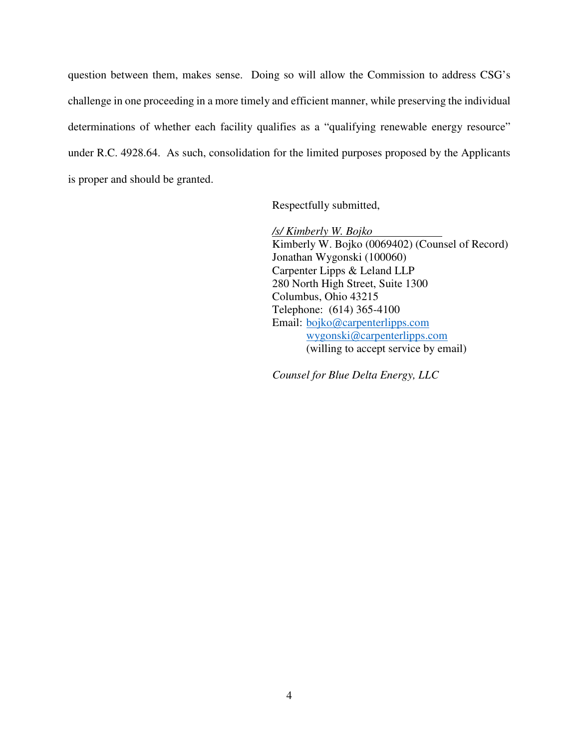question between them, makes sense. Doing so will allow the Commission to address CSG's challenge in one proceeding in a more timely and efficient manner, while preserving the individual determinations of whether each facility qualifies as a "qualifying renewable energy resource" under R.C. 4928.64. As such, consolidation for the limited purposes proposed by the Applicants is proper and should be granted.

Respectfully submitted,

*/s/ Kimberly W. Bojko* 

Kimberly W. Bojko (0069402) (Counsel of Record) Jonathan Wygonski (100060) Carpenter Lipps & Leland LLP 280 North High Street, Suite 1300 Columbus, Ohio 43215 Telephone: (614) 365-4100 Email: bojko@carpenterlipps.com wygonski@carpenterlipps.com (willing to accept service by email)

*Counsel for Blue Delta Energy, LLC*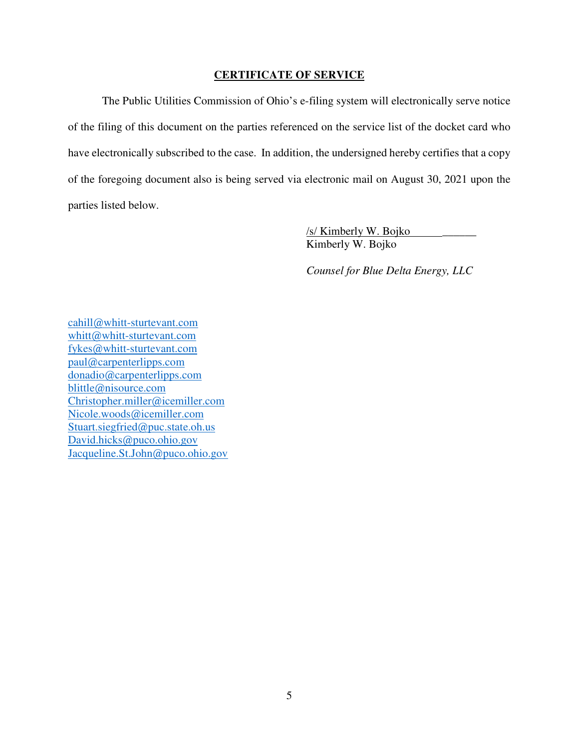## **CERTIFICATE OF SERVICE**

 The Public Utilities Commission of Ohio's e-filing system will electronically serve notice of the filing of this document on the parties referenced on the service list of the docket card who have electronically subscribed to the case. In addition, the undersigned hereby certifies that a copy of the foregoing document also is being served via electronic mail on August 30, 2021 upon the parties listed below.

> /s/ Kimberly W. Bojko \_\_\_\_\_\_ Kimberly W. Bojko

 *Counsel for Blue Delta Energy, LLC* 

cahill@whitt-sturtevant.com whitt@whitt-sturtevant.com fykes@whitt-sturtevant.com paul@carpenterlipps.com donadio@carpenterlipps.com blittle@nisource.com Christopher.miller@icemiller.com Nicole.woods@icemiller.com Stuart.siegfried@puc.state.oh.us David.hicks@puco.ohio.gov Jacqueline.St.John@puco.ohio.gov